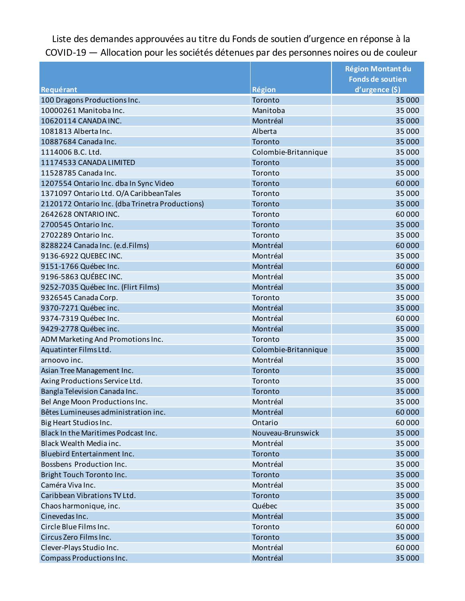Liste des demandes approuvées au titre du Fonds de soutien d'urgence en réponse à la COVID-19 — Allocation pour les sociétés détenues par des personnes noires ou de couleur

|                                                 |                      | <b>Région Montant du</b> |
|-------------------------------------------------|----------------------|--------------------------|
|                                                 |                      | <b>Fonds de soutien</b>  |
| Requérant                                       | Région               | d'urgence (\$)           |
| 100 Dragons Productions Inc.                    | Toronto              | 35 000                   |
| 10000261 Manitoba Inc.                          | Manitoba             | 35 000                   |
| 10620114 CANADA INC.                            | Montréal             | 35 000                   |
| 1081813 Alberta Inc.                            | Alberta              | 35 000                   |
| 10887684 Canada Inc.                            | Toronto              | 35 000                   |
| 1114006 B.C. Ltd.                               | Colombie-Britannique | 35 000                   |
| 11174533 CANADA LIMITED                         | Toronto              | 35 000                   |
| 11528785 Canada Inc.                            | Toronto              | 35 000                   |
| 1207554 Ontario Inc. dba In Sync Video          | Toronto              | 60000                    |
| 1371097 Ontario Ltd. O/A Caribbean Tales        | Toronto              | 35 000                   |
| 2120172 Ontario Inc. (dba Trinetra Productions) | Toronto              | 35 000                   |
| 2642628 ONTARIO INC.                            | Toronto              | 60000                    |
| 2700545 Ontario Inc.                            | Toronto              | 35 000                   |
| 2702289 Ontario Inc.                            | Toronto              | 35 000                   |
| 8288224 Canada Inc. (e.d.Films)                 | Montréal             | 60000                    |
| 9136-6922 QUEBEC INC.                           | Montréal             | 35 000                   |
| 9151-1766 Québec Inc.                           | Montréal             | 60000                    |
| 9196-5863 QUÉBEC INC.                           | Montréal             | 35 000                   |
| 9252-7035 Québec Inc. (Flirt Films)             | Montréal             | 35 000                   |
| 9326545 Canada Corp.                            | Toronto              | 35 000                   |
| 9370-7271 Québec inc.                           | Montréal             | 35 000                   |
| 9374-7319 Québec Inc.                           | Montréal             | 60000                    |
| 9429-2778 Québec inc.                           | Montréal             | 35 000                   |
| ADM Marketing And Promotions Inc.               | Toronto              | 35 000                   |
| Aquatinter Films Ltd.                           | Colombie-Britannique | 35 000                   |
| arnoovo inc.                                    | Montréal             | 35 000                   |
| Asian Tree Management Inc.                      | Toronto              | 35 000                   |
| Axing Productions Service Ltd.                  | Toronto              | 35 000                   |
| Bangla Television Canada Inc.                   | Toronto              | 35 000                   |
| Bel Ange Moon Productions Inc.                  | Montréal             | 35 000                   |
| Bêtes Lumineuses administration inc.            | Montréal             | 60000                    |
| Big Heart Studios Inc.                          | Ontario              | 60000                    |
| Black In the Maritimes Podcast Inc.             | Nouveau-Brunswick    | 35 000                   |
| Black Wealth Media inc.                         | Montréal             | 35 000                   |
| Bluebird Entertainment Inc.                     | Toronto              | 35 000                   |
| Bossbens Production Inc.                        | Montréal             | 35 000                   |
| Bright Touch Toronto Inc.                       | Toronto              | 35 000                   |
| Caméra Viva Inc.                                | Montréal             | 35 000                   |
| Caribbean Vibrations TV Ltd.                    | Toronto              | 35 000                   |
| Chaos harmonique, inc.                          | Québec               | 35 000                   |
| Cinevedas Inc.                                  | Montréal             | 35 000                   |
| Circle Blue Films Inc.                          | Toronto              | 60000                    |
| Circus Zero Films Inc.                          | Toronto              | 35 000                   |
| Clever-Plays Studio Inc.                        | Montréal             | 60000                    |
| Compass Productions Inc.                        | Montréal             | 35 000                   |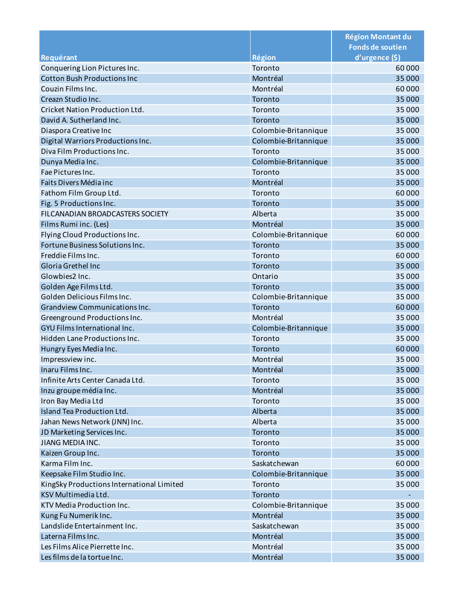|                                           |                      | <b>Région Montant du</b><br><b>Fonds de soutien</b> |
|-------------------------------------------|----------------------|-----------------------------------------------------|
| Requérant                                 | <b>Région</b>        | d'urgence (\$)                                      |
| Conquering Lion Pictures Inc.             | Toronto              | 60000                                               |
| <b>Cotton Bush Productions Inc</b>        | Montréal             | 35 000                                              |
| Couzin Films Inc.                         | Montréal             | 60000                                               |
| Creazn Studio Inc.                        | Toronto              | 35 000                                              |
| Cricket Nation Production Ltd.            | Toronto              | 35 000                                              |
| David A. Sutherland Inc.                  | Toronto              | 35 000                                              |
| Diaspora Creative Inc                     | Colombie-Britannique | 35 000                                              |
| Digital Warriors Productions Inc.         | Colombie-Britannique | 35 000                                              |
| Diva Film Productions Inc.                | Toronto              | 35 000                                              |
| Dunya Media Inc.                          | Colombie-Britannique | 35 000                                              |
| Fae Pictures Inc.                         | Toronto              | 35 000                                              |
| Faits Divers Média inc                    | Montréal             | 35 000                                              |
| Fathom Film Group Ltd.                    | Toronto              | 60000                                               |
| Fig. 5 Productions Inc.                   | Toronto              | 35 000                                              |
| <b>FILCANADIAN BROADCASTERS SOCIETY</b>   | Alberta              | 35 000                                              |
| Films Rumi inc. (Les)                     | Montréal             | 35 000                                              |
| Flying Cloud Productions Inc.             | Colombie-Britannique | 60000                                               |
| Fortune Business Solutions Inc.           | Toronto              | 35 000                                              |
| Freddie Films Inc.                        | Toronto              | 60000                                               |
| Gloria Grethel Inc                        | Toronto              | 35 000                                              |
| Glowbies2 Inc.                            | Ontario              | 35 000                                              |
| Golden Age Films Ltd.                     | Toronto              | 35 000                                              |
| Golden Delicious Films Inc.               | Colombie-Britannique | 35 000                                              |
| Grandview Communications Inc.             | Toronto              | 60000                                               |
| Greenground Productions Inc.              | Montréal             | 35 000                                              |
| GYU Films International Inc.              | Colombie-Britannique | 35 000                                              |
| Hidden Lane Productions Inc.              | Toronto              | 35 000                                              |
| Hungry Eyes Media Inc.                    | Toronto              | 60000                                               |
| Impressview inc.                          | Montréal             | 35 000                                              |
| Inaru Films Inc.                          | Montréal             | 35 000                                              |
| Infinite Arts Center Canada Ltd.          | Toronto              | 35 000                                              |
| Inzu groupe média Inc.                    | Montréal             | 35 000                                              |
| Iron Bay Media Ltd                        | Toronto              | 35 000                                              |
| Island Tea Production Ltd.                | Alberta              | 35 000                                              |
| Jahan News Network (JNN) Inc.             | Alberta              | 35 000                                              |
| JD Marketing Services Inc.                | Toronto              | 35 000                                              |
| <b>JIANG MEDIA INC.</b>                   | Toronto              | 35 000                                              |
| Kaizen Group Inc.                         | Toronto              | 35 000                                              |
| Karma Film Inc.                           | Saskatchewan         | 60000                                               |
| Keepsake Film Studio Inc.                 | Colombie-Britannique | 35 000                                              |
| KingSky Productions International Limited | Toronto              | 35 000                                              |
| KSV Multimedia Ltd.                       | Toronto              |                                                     |
| KTV Media Production Inc.                 | Colombie-Britannique | 35 000                                              |
| Kung Fu Numerik Inc.                      | Montréal             | 35 000                                              |
| Landslide Entertainment Inc.              | Saskatchewan         | 35 000                                              |
| Laterna Films Inc.                        | Montréal             | 35 000                                              |
| Les Films Alice Pierrette Inc.            | Montréal             | 35 000                                              |
| Les films de la tortue Inc.               | Montréal             | 35 000                                              |
|                                           |                      |                                                     |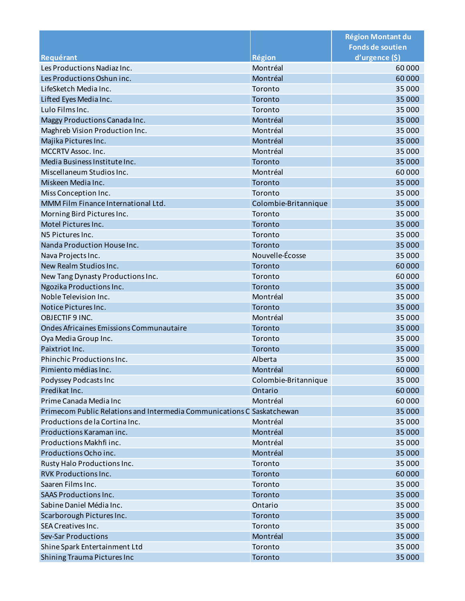|                                                                        |                      | <b>Région Montant du</b><br><b>Fonds de soutien</b> |
|------------------------------------------------------------------------|----------------------|-----------------------------------------------------|
| Requérant                                                              | Région               | d'urgence (\$)                                      |
| Les Productions Nadiaz Inc.                                            | Montréal             | 60000                                               |
| Les Productions Oshun inc.                                             | Montréal             | 60000                                               |
| LifeSketch Media Inc.                                                  | Toronto              | 35 000                                              |
| Lifted Eyes Media Inc.                                                 | Toronto              | 35 000                                              |
| Lulo Films Inc.                                                        | Toronto              | 35 000                                              |
|                                                                        | Montréal             | 35 000                                              |
| Maggy Productions Canada Inc.<br>Maghreb Vision Production Inc.        | Montréal             | 35 000                                              |
| Majika Pictures Inc.                                                   | Montréal             | 35 000                                              |
| MCCRTV Assoc. Inc.                                                     | Montréal             | 35 000                                              |
| Media Business Institute Inc.                                          | Toronto              | 35 000                                              |
| Miscellaneum Studios Inc.                                              | Montréal             | 60000                                               |
| Miskeen Media Inc.                                                     | Toronto              | 35 000                                              |
|                                                                        | Toronto              | 35 000                                              |
| Miss Conception Inc.<br>MMM Film Finance International Ltd.            |                      |                                                     |
|                                                                        | Colombie-Britannique | 35 000                                              |
| Morning Bird Pictures Inc.                                             | Toronto              | 35 000                                              |
| Motel Pictures Inc.                                                    | Toronto              | 35 000                                              |
| N5 Pictures Inc.                                                       | Toronto              | 35 000                                              |
| Nanda Production House Inc.                                            | Toronto              | 35 000                                              |
| Nava Projects Inc.                                                     | Nouvelle-Écosse      | 35 000                                              |
| New Realm Studios Inc.                                                 | Toronto              | 60000                                               |
| New Tang Dynasty Productions Inc.                                      | Toronto              | 60000                                               |
| Ngozika Productions Inc.                                               | Toronto              | 35 000                                              |
| Noble Television Inc.                                                  | Montréal             | 35 000                                              |
| Notice Pictures Inc.                                                   | Toronto              | 35 000                                              |
| OBJECTIF 9 INC.                                                        | Montréal             | 35 000                                              |
| Ondes Africaines Emissions Communautaire                               | Toronto              | 35 000                                              |
| Oya Media Group Inc.                                                   | Toronto              | 35 000                                              |
| Paixtriot Inc.                                                         | Toronto              | 35 000                                              |
| Phinchic Productions Inc.                                              | Alberta              | 35 000                                              |
| Pimiento médias Inc.                                                   | Montréal             | 60000                                               |
| Podyssey Podcasts Inc                                                  | Colombie-Britannique | 35 000                                              |
| Predikat Inc.                                                          | Ontario              | 60000                                               |
| Prime Canada Media Inc                                                 | Montréal             | 60000                                               |
| Primecom Public Relations and Intermedia Communications C Saskatchewan |                      | 35 000                                              |
| Productions de la Cortina Inc.                                         | Montréal             | 35 000                                              |
| Productions Karaman inc.                                               | Montréal             | 35 000                                              |
| Productions Makhfi inc.                                                | Montréal             | 35 000                                              |
| Productions Ocho inc.                                                  | Montréal             | 35 000                                              |
| Rusty Halo Productions Inc.                                            | Toronto              | 35 000                                              |
| <b>RVK Productions Inc.</b>                                            | Toronto              | 60000                                               |
| Saaren Films Inc.                                                      | Toronto              | 35 000                                              |
| <b>SAAS Productions Inc.</b>                                           | Toronto              | 35 000                                              |
| Sabine Daniel Média Inc.                                               | Ontario              | 35 000                                              |
| Scarborough Pictures Inc.                                              | Toronto              | 35 000                                              |
| SEA Creatives Inc.                                                     | Toronto              | 35 000                                              |
| Sev-Sar Productions                                                    | Montréal             | 35 000                                              |
| Shine Spark Entertainment Ltd                                          | Toronto              | 35 000                                              |
| Shining Trauma Pictures Inc                                            | Toronto              | 35 000                                              |